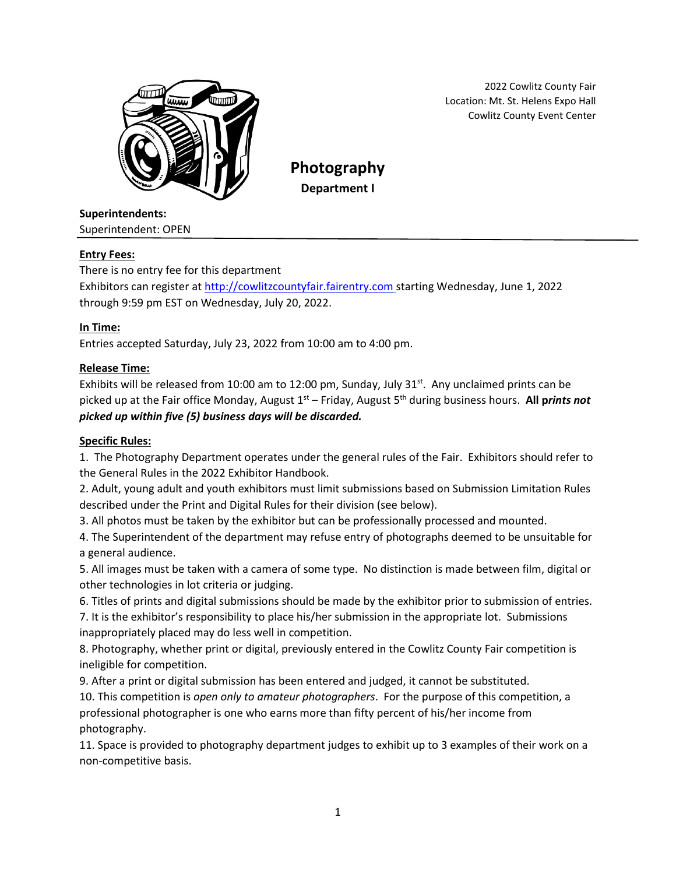

2022 Cowlitz County Fair Location: Mt. St. Helens Expo Hall Cowlitz County Event Center

**Photography Department I**

### **Superintendents:**

Superintendent: OPEN

### **Entry Fees:**

There is no entry fee for this department

Exhibitors can register at [http://cowlitzcountyfair.fairentry.com](http://cowlitzcountyfair.fairentry.com/) starting Wednesday, June 1, 2022 through 9:59 pm EST on Wednesday, July 20, 2022.

### **In Time:**

Entries accepted Saturday, July 23, 2022 from 10:00 am to 4:00 pm.

### **Release Time:**

Exhibits will be released from 10:00 am to 12:00 pm, Sunday, July 31 $^{st}$ . Any unclaimed prints can be picked up at the Fair office Monday, August 1<sup>st</sup> – Friday, August 5<sup>th</sup> during business hours. All prints not *picked up within five (5) business days will be discarded.*

#### **Specific Rules:**

1. The Photography Department operates under the general rules of the Fair. Exhibitors should refer to the General Rules in the 2022 Exhibitor Handbook.

2. Adult, young adult and youth exhibitors must limit submissions based on Submission Limitation Rules described under the Print and Digital Rules for their division (see below).

3. All photos must be taken by the exhibitor but can be professionally processed and mounted.

4. The Superintendent of the department may refuse entry of photographs deemed to be unsuitable for a general audience.

5. All images must be taken with a camera of some type. No distinction is made between film, digital or other technologies in lot criteria or judging.

6. Titles of prints and digital submissions should be made by the exhibitor prior to submission of entries.

7. It is the exhibitor's responsibility to place his/her submission in the appropriate lot. Submissions inappropriately placed may do less well in competition.

8. Photography, whether print or digital, previously entered in the Cowlitz County Fair competition is ineligible for competition.

9. After a print or digital submission has been entered and judged, it cannot be substituted.

10. This competition is *open only to amateur photographers*. For the purpose of this competition, a professional photographer is one who earns more than fifty percent of his/her income from photography.

11. Space is provided to photography department judges to exhibit up to 3 examples of their work on a non-competitive basis.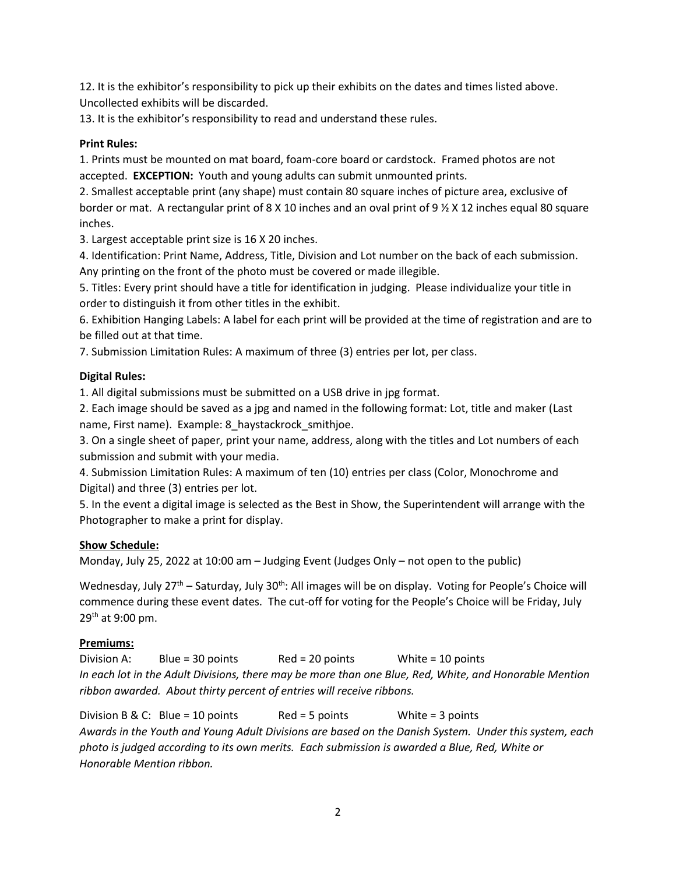12. It is the exhibitor's responsibility to pick up their exhibits on the dates and times listed above. Uncollected exhibits will be discarded.

13. It is the exhibitor's responsibility to read and understand these rules.

#### **Print Rules:**

1. Prints must be mounted on mat board, foam-core board or cardstock. Framed photos are not accepted. **EXCEPTION:** Youth and young adults can submit unmounted prints.

2. Smallest acceptable print (any shape) must contain 80 square inches of picture area, exclusive of border or mat. A rectangular print of 8 X 10 inches and an oval print of 9 ½ X 12 inches equal 80 square inches.

3. Largest acceptable print size is 16 X 20 inches.

4. Identification: Print Name, Address, Title, Division and Lot number on the back of each submission. Any printing on the front of the photo must be covered or made illegible.

5. Titles: Every print should have a title for identification in judging. Please individualize your title in order to distinguish it from other titles in the exhibit.

6. Exhibition Hanging Labels: A label for each print will be provided at the time of registration and are to be filled out at that time.

7. Submission Limitation Rules: A maximum of three (3) entries per lot, per class.

### **Digital Rules:**

1. All digital submissions must be submitted on a USB drive in jpg format.

2. Each image should be saved as a jpg and named in the following format: Lot, title and maker (Last name, First name). Example: 8\_haystackrock\_smithjoe.

3. On a single sheet of paper, print your name, address, along with the titles and Lot numbers of each submission and submit with your media.

4. Submission Limitation Rules: A maximum of ten (10) entries per class (Color, Monochrome and Digital) and three (3) entries per lot.

5. In the event a digital image is selected as the Best in Show, the Superintendent will arrange with the Photographer to make a print for display.

#### **Show Schedule:**

Monday, July 25, 2022 at 10:00 am – Judging Event (Judges Only – not open to the public)

Wednesday, July 27<sup>th</sup> – Saturday, July 30<sup>th</sup>: All images will be on display. Voting for People's Choice will commence during these event dates. The cut-off for voting for the People's Choice will be Friday, July 29<sup>th</sup> at 9:00 pm.

#### **Premiums:**

Division A: Blue = 30 points Red = 20 points White = 10 points *In each lot in the Adult Divisions, there may be more than one Blue, Red, White, and Honorable Mention ribbon awarded. About thirty percent of entries will receive ribbons.* 

Division B & C: Blue = 10 points Red = 5 points White = 3 points *Awards in the Youth and Young Adult Divisions are based on the Danish System. Under this system, each photo is judged according to its own merits. Each submission is awarded a Blue, Red, White or Honorable Mention ribbon.*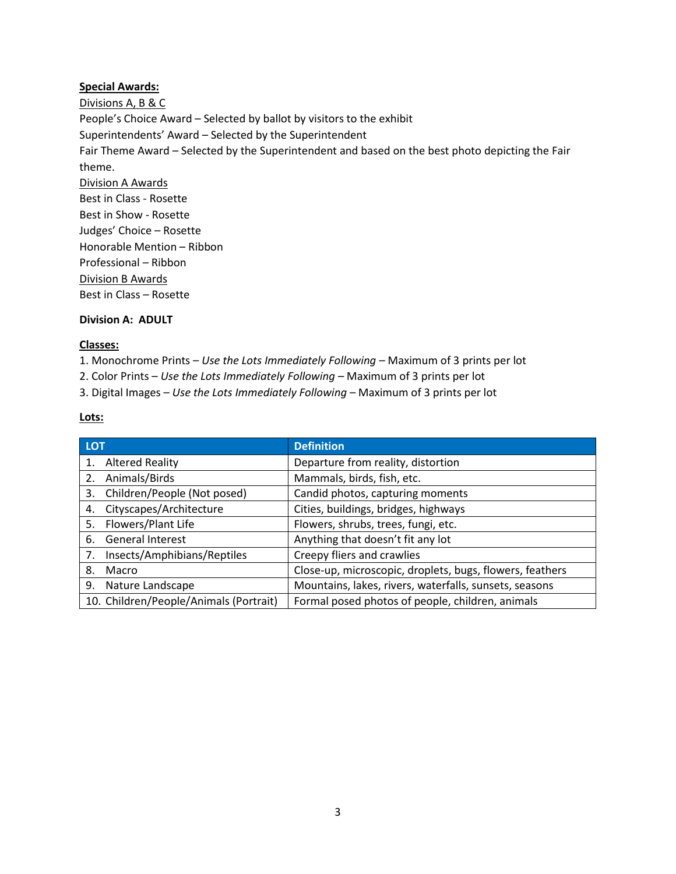#### **Special Awards:**

Divisions A, B & C People's Choice Award – Selected by ballot by visitors to the exhibit Superintendents' Award – Selected by the Superintendent Fair Theme Award – Selected by the Superintendent and based on the best photo depicting the Fair theme. Division A Awards Best in Class - Rosette Best in Show - Rosette Judges' Choice – Rosette Honorable Mention – Ribbon Professional – Ribbon Division B Awards Best in Class – Rosette

#### **Division A: ADULT**

### **Classes:**

1. Monochrome Prints – *Use the Lots Immediately Following –* Maximum of 3 prints per lot

2. Color Prints – *Use the Lots Immediately Following –* Maximum of 3 prints per lot

3. Digital Images – *Use the Lots Immediately Following –* Maximum of 3 prints per lot

### **Lots:**

| <b>LOT</b>                             | <b>Definition</b>                                        |
|----------------------------------------|----------------------------------------------------------|
| <b>Altered Reality</b>                 | Departure from reality, distortion                       |
| Animals/Birds<br>2.                    | Mammals, birds, fish, etc.                               |
| Children/People (Not posed)<br>3.      | Candid photos, capturing moments                         |
| Cityscapes/Architecture<br>4.          | Cities, buildings, bridges, highways                     |
| Flowers/Plant Life<br>5.               | Flowers, shrubs, trees, fungi, etc.                      |
| <b>General Interest</b><br>6.          | Anything that doesn't fit any lot                        |
| Insects/Amphibians/Reptiles<br>7.      | Creepy fliers and crawlies                               |
| Macro<br>8.                            | Close-up, microscopic, droplets, bugs, flowers, feathers |
| 9.<br>Nature Landscape                 | Mountains, lakes, rivers, waterfalls, sunsets, seasons   |
| 10. Children/People/Animals (Portrait) | Formal posed photos of people, children, animals         |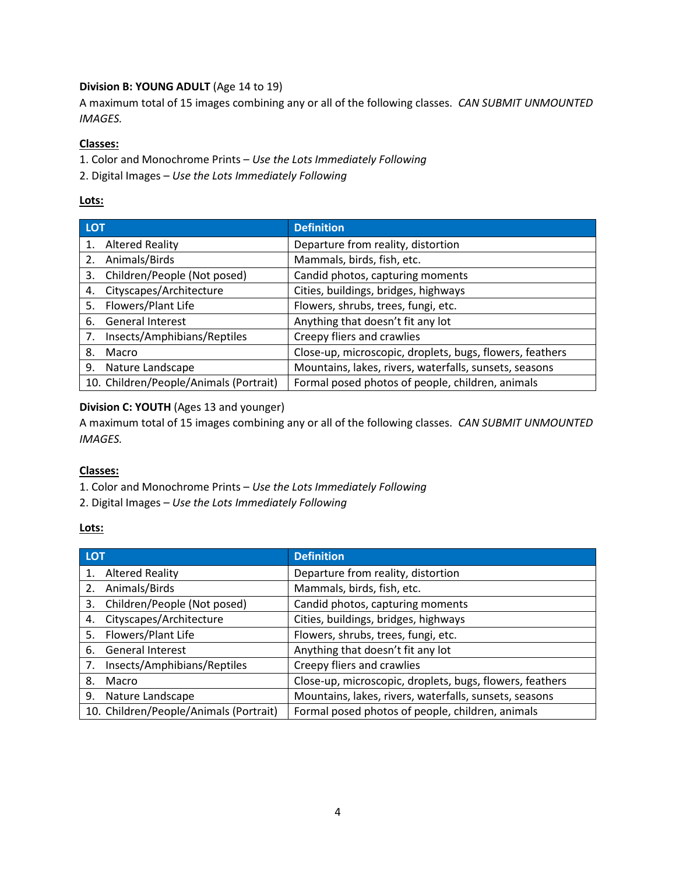## **Division B: YOUNG ADULT** (Age 14 to 19)

A maximum total of 15 images combining any or all of the following classes. *CAN SUBMIT UNMOUNTED IMAGES.*

### **Classes:**

1. Color and Monochrome Prints – *Use the Lots Immediately Following*

2. Digital Images – *Use the Lots Immediately Following*

### **Lots:**

| <b>LOT</b> |                                        | <b>Definition</b>                                        |
|------------|----------------------------------------|----------------------------------------------------------|
| 1.         | <b>Altered Reality</b>                 | Departure from reality, distortion                       |
| 2.         | Animals/Birds                          | Mammals, birds, fish, etc.                               |
| 3.         | Children/People (Not posed)            | Candid photos, capturing moments                         |
| 4.         | Cityscapes/Architecture                | Cities, buildings, bridges, highways                     |
| 5.         | Flowers/Plant Life                     | Flowers, shrubs, trees, fungi, etc.                      |
| 6.         | <b>General Interest</b>                | Anything that doesn't fit any lot                        |
| 7.         | Insects/Amphibians/Reptiles            | Creepy fliers and crawlies                               |
| 8.         | Macro                                  | Close-up, microscopic, droplets, bugs, flowers, feathers |
| 9.         | Nature Landscape                       | Mountains, lakes, rivers, waterfalls, sunsets, seasons   |
|            | 10. Children/People/Animals (Portrait) | Formal posed photos of people, children, animals         |

# **Division C: YOUTH** (Ages 13 and younger)

A maximum total of 15 images combining any or all of the following classes. *CAN SUBMIT UNMOUNTED IMAGES.*

## **Classes:**

- 1. Color and Monochrome Prints *Use the Lots Immediately Following*
- 2. Digital Images *Use the Lots Immediately Following*

#### **Lots:**

| <b>LOT</b> |                                        | <b>Definition</b>                                        |
|------------|----------------------------------------|----------------------------------------------------------|
| 1.         | <b>Altered Reality</b>                 | Departure from reality, distortion                       |
| 2.         | Animals/Birds                          | Mammals, birds, fish, etc.                               |
| 3.         | Children/People (Not posed)            | Candid photos, capturing moments                         |
| 4.         | Cityscapes/Architecture                | Cities, buildings, bridges, highways                     |
| 5.         | Flowers/Plant Life                     | Flowers, shrubs, trees, fungi, etc.                      |
| 6.         | <b>General Interest</b>                | Anything that doesn't fit any lot                        |
| 7.         | Insects/Amphibians/Reptiles            | Creepy fliers and crawlies                               |
| 8.         | Macro                                  | Close-up, microscopic, droplets, bugs, flowers, feathers |
| 9.         | Nature Landscape                       | Mountains, lakes, rivers, waterfalls, sunsets, seasons   |
|            | 10. Children/People/Animals (Portrait) | Formal posed photos of people, children, animals         |